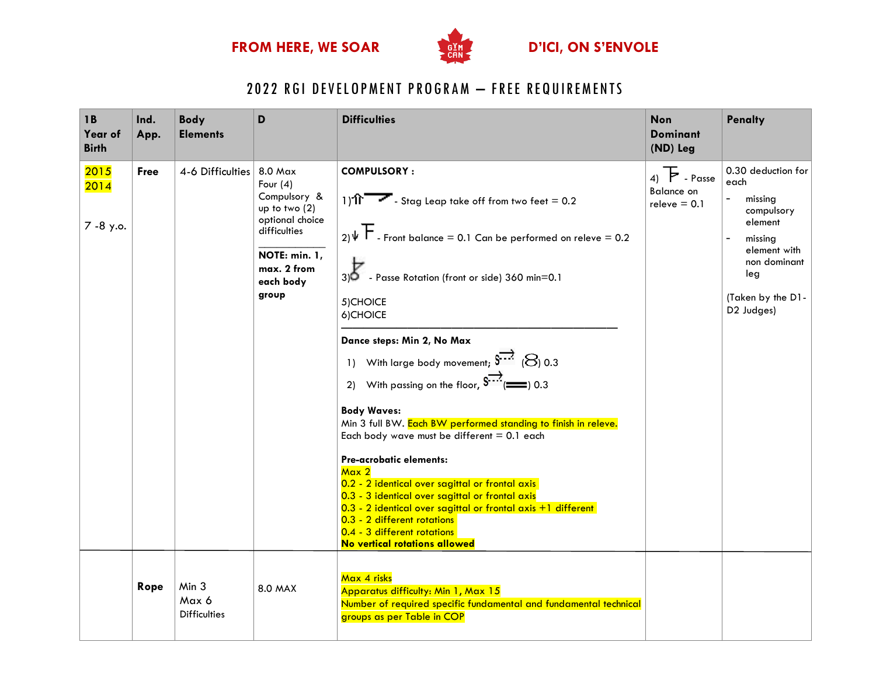

# 2022 RGI DEVELOPMENT PROGRAM - FREE REQUIREMENTS

| 1 <b>B</b><br>Year of<br><b>Birth</b> | Ind.<br>App. | <b>Body</b><br><b>Elements</b>        | D                                                                                                                                                 | <b>Difficulties</b>                                                                                                                                                                                                                                                                                                                                                                                                                                                                                                                                                                                                                                                                                                                                                                                                                                           | <b>Non</b><br><b>Dominant</b><br>(ND) Leg                          | <b>Penalty</b>                                                                                                                                                                  |
|---------------------------------------|--------------|---------------------------------------|---------------------------------------------------------------------------------------------------------------------------------------------------|---------------------------------------------------------------------------------------------------------------------------------------------------------------------------------------------------------------------------------------------------------------------------------------------------------------------------------------------------------------------------------------------------------------------------------------------------------------------------------------------------------------------------------------------------------------------------------------------------------------------------------------------------------------------------------------------------------------------------------------------------------------------------------------------------------------------------------------------------------------|--------------------------------------------------------------------|---------------------------------------------------------------------------------------------------------------------------------------------------------------------------------|
| 2015<br>2014<br>7 - 8 y.o.            | <b>Free</b>  | 4-6 Difficulties                      | 8.0 Max<br>Four $(4)$<br>Compulsory &<br>up to two $(2)$<br>optional choice<br>difficulties<br>NOTE: min. 1,<br>max. 2 from<br>each body<br>group | <b>COMPULSORY:</b><br>1) <b>if</b> $\sim$ - Stag Leap take off from two feet = 0.2<br>$_{21}\psi$ F . Front balance = 0.1 Can be performed on releve = 0.2<br>3) <sup>6</sup> - Passe Rotation (front or side) 360 min=0.1<br>5) CHOICE<br>6) CHOICE<br>Dance steps: Min 2, No Max<br>1) With large body movement; $S^{777}$ ( $S$ ) 0.3<br>2) With passing on the floor, $S^{772}$ ( $\Longrightarrow$ 0.3<br><b>Body Waves:</b><br>Min 3 full BW. Each BW performed standing to finish in releve.<br>Each body wave must be different $= 0.1$ each<br>Pre-acrobatic elements:<br>Max 2<br>0.2 - 2 identical over sagittal or frontal axis<br>0.3 - 3 identical over sagittal or frontal axis<br>0.3 - 2 identical over sagittal or frontal axis +1 different<br>0.3 - 2 different rotations<br>0.4 - 3 different rotations<br>No vertical rotations allowed | $_4$ ) $\mathsf{F}$ - Passe<br><b>Balance on</b><br>$releve = 0.1$ | 0.30 deduction for<br>each<br>missing<br>compulsory<br>element<br>missing<br>$\overline{\phantom{a}}$<br>element with<br>non dominant<br>leg<br>(Taken by the D1-<br>D2 Judges) |
|                                       | Rope         | Min 3<br>Max 6<br><b>Difficulties</b> | 8.0 MAX                                                                                                                                           | Max 4 risks<br>Apparatus difficulty: Min 1, Max 15<br>Number of required specific fundamental and fundamental technical<br>groups as per Table in COP                                                                                                                                                                                                                                                                                                                                                                                                                                                                                                                                                                                                                                                                                                         |                                                                    |                                                                                                                                                                                 |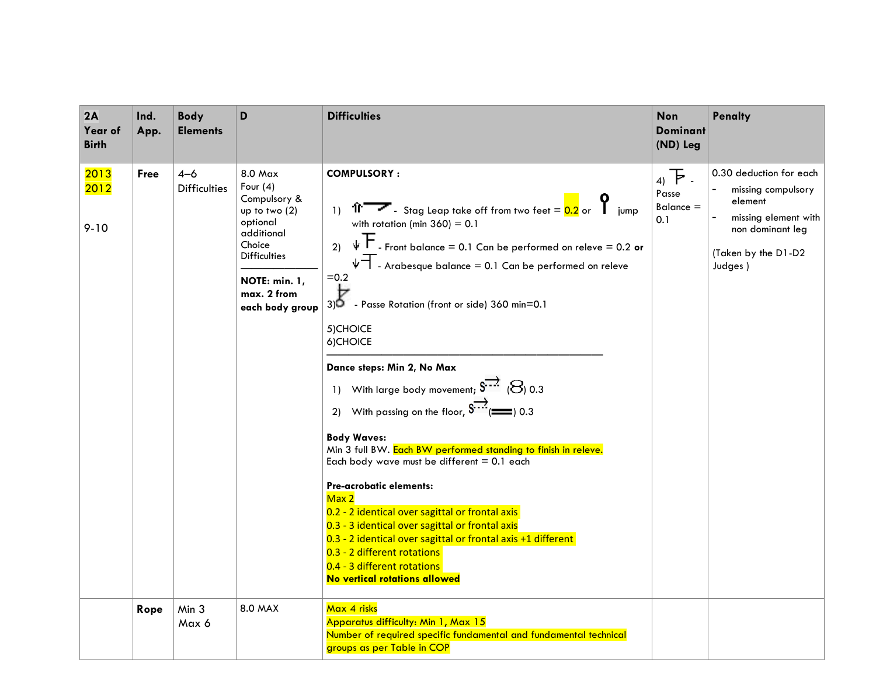| 2A<br>Year of<br><b>Birth</b> | Ind.<br>App. | <b>Body</b><br><b>Elements</b> | D                                                                                                                                                                    | <b>Difficulties</b>                                                                                                                                                                                                                                                                                                                                                                                                                                                                                                                                                                                                                                                                                                                                                                                                                                                                                                                                                                                                           | <b>Non</b><br><b>Dominant</b><br>(ND) Leg | <b>Penalty</b>                                                                                                                         |
|-------------------------------|--------------|--------------------------------|----------------------------------------------------------------------------------------------------------------------------------------------------------------------|-------------------------------------------------------------------------------------------------------------------------------------------------------------------------------------------------------------------------------------------------------------------------------------------------------------------------------------------------------------------------------------------------------------------------------------------------------------------------------------------------------------------------------------------------------------------------------------------------------------------------------------------------------------------------------------------------------------------------------------------------------------------------------------------------------------------------------------------------------------------------------------------------------------------------------------------------------------------------------------------------------------------------------|-------------------------------------------|----------------------------------------------------------------------------------------------------------------------------------------|
| 2013<br>2012<br>$9 - 10$      | Free         | $4 - 6$<br><b>Difficulties</b> | 8.0 Max<br>Four $(4)$<br>Compulsory &<br>up to two (2)<br>optional<br>additional<br>Choice<br><b>Difficulties</b><br>NOTE: min. 1,<br>max. 2 from<br>each body group | <b>COMPULSORY:</b><br>1) $\hat{P}$ $\rightarrow$ Stag Leap take off from two feet = $\frac{0.2}{0.2}$ or $\sum$ jump<br>with rotation (min $360$ ) = 0.1<br>$\psi$ $\vdash$ - Front balance = 0.1 Can be performed on releve = 0.2 or<br>2)<br>$\psi$ - Arabesque balance = 0.1 Can be performed on releve<br>$=0.2$<br>Þ<br>- Passe Rotation (front or side) 360 min=0.1<br>3)O<br>5) CHOICE<br>6) CHOICE<br>Dance steps: Min 2, No Max<br>1) With large body movement; $S^{77}$ ( $S$ ) 0.3<br>With passing on the floor, $\overline{\mathbf{S}^{***}}($ (1000) 0.3<br>2)<br><b>Body Waves:</b><br>Min 3 full BW. Each BW performed standing to finish in releve.<br>Each body wave must be different $= 0.1$ each<br>Pre-acrobatic elements:<br>Max 2<br>0.2 - 2 identical over sagittal or frontal axis<br>0.3 - 3 identical over sagittal or frontal axis<br>0.3 - 2 identical over sagittal or frontal axis +1 different<br>0.3 - 2 different rotations<br>0.4 - 3 different rotations<br>No vertical rotations allowed | $4)$ F.<br>Passe<br>$Balance =$<br>0.1    | 0.30 deduction for each<br>missing compulsory<br>element<br>missing element with<br>non dominant leg<br>(Taken by the D1-D2<br>Judges) |
|                               | Rope         | Min 3<br>Max 6                 | 8.0 MAX                                                                                                                                                              | Max 4 risks<br>Apparatus difficulty: Min 1, Max 15<br>Number of required specific fundamental and fundamental technical<br>groups as per Table in COP                                                                                                                                                                                                                                                                                                                                                                                                                                                                                                                                                                                                                                                                                                                                                                                                                                                                         |                                           |                                                                                                                                        |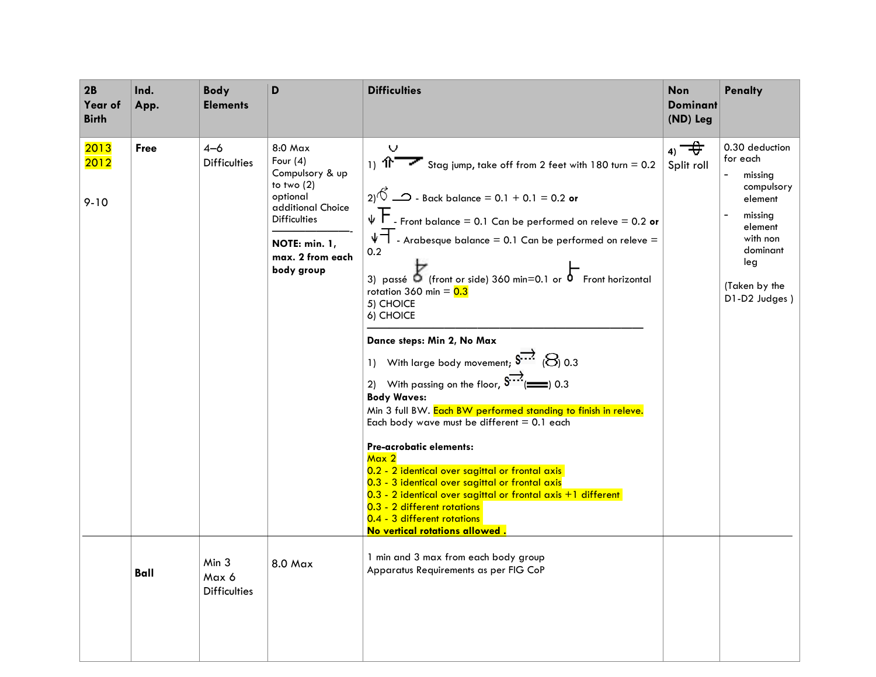| 2B<br>Year of<br><b>Birth</b> | Ind.<br>App. | <b>Body</b><br><b>Elements</b>        | D                                                                                                                                                                            | <b>Difficulties</b>                                                                                                                                                                                                                                                                                                                                                                                                                                                                                                                                                                                                                                                                                                                                                                                                                                                                                                                                                                                                                                    | <b>Non</b><br><b>Dominant</b><br>(ND) Leg | <b>Penalty</b>                                                                                                                                        |
|-------------------------------|--------------|---------------------------------------|------------------------------------------------------------------------------------------------------------------------------------------------------------------------------|--------------------------------------------------------------------------------------------------------------------------------------------------------------------------------------------------------------------------------------------------------------------------------------------------------------------------------------------------------------------------------------------------------------------------------------------------------------------------------------------------------------------------------------------------------------------------------------------------------------------------------------------------------------------------------------------------------------------------------------------------------------------------------------------------------------------------------------------------------------------------------------------------------------------------------------------------------------------------------------------------------------------------------------------------------|-------------------------------------------|-------------------------------------------------------------------------------------------------------------------------------------------------------|
| 2013<br>2012<br>$9 - 10$      | <b>Free</b>  | $4 - 6$<br><b>Difficulties</b>        | $8:0$ Max<br>Four $(4)$<br>Compulsory & up<br>to two $(2)$<br>optional<br>additional Choice<br><b>Difficulties</b><br><b>NOTE: min. 1,</b><br>max. 2 from each<br>body group | v<br>1) $\hat{P}$ Stag jump, take off from 2 feet with 180 turn = 0.2<br>2) <sup><math>\sqrt{6}</math></sup> $\rightarrow$ - Back balance = 0.1 + 0.1 = 0.2 or<br>- Front balance = $0.1$ Can be performed on releve = $0.2$ or<br>$\psi$ - Arabesque balance = 0.1 Can be performed on releve =<br>0.2<br>3) passé $\delta$ (front or side) 360 min=0.1 or $\delta$ Front horizontal<br>rotation 360 min = $0.3$<br>5) CHOICE<br>6) CHOICE<br>Dance steps: Min 2, No Max<br>1) With large body movement; $S^{777}$ ( $S$ ) 0.3<br>2) With passing on the floor, $S^{772}$ ( $\equiv$ 0.3<br><b>Body Waves:</b><br>Min 3 full BW. Each BW performed standing to finish in releve.<br>Each body wave must be different $= 0.1$ each<br>Pre-acrobatic elements:<br>Max <sub>2</sub><br>0.2 - 2 identical over sagittal or frontal axis<br>0.3 - 3 identical over sagittal or frontal axis<br>0.3 - 2 identical over sagittal or frontal axis +1 different<br>0.3 - 2 different rotations<br>0.4 - 3 different rotations<br>No vertical rotations allowed | $_4$ $\rightarrow$<br>Split roll          | 0.30 deduction<br>for each<br>missing<br>compulsory<br>element<br>missing<br>element<br>with non<br>dominant<br>leg<br>(Taken by the<br>D1-D2 Judges) |
|                               | Ball         | Min 3<br>Max 6<br><b>Difficulties</b> | 8.0 Max                                                                                                                                                                      | 1 min and 3 max from each body group<br>Apparatus Requirements as per FIG CoP                                                                                                                                                                                                                                                                                                                                                                                                                                                                                                                                                                                                                                                                                                                                                                                                                                                                                                                                                                          |                                           |                                                                                                                                                       |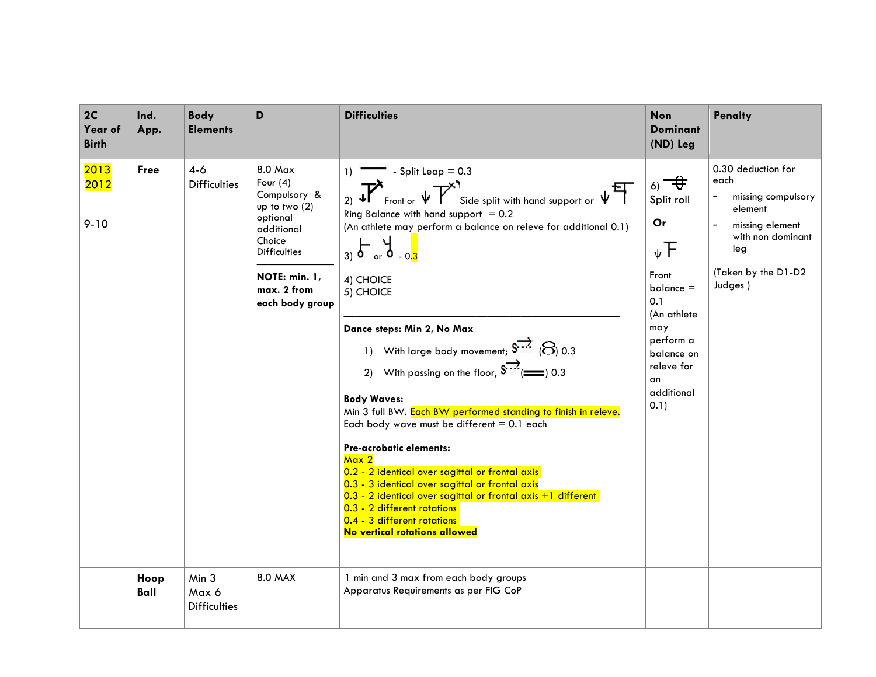| 2C<br>Year of<br><b>Birth</b> | Ind.<br>App. | <b>Body</b><br><b>Elements</b>        | D                                                                                                                                                                      | <b>Difficulties</b>                                                                                                                                                                                                                                                                                                                                                                                                                                                                                                                                                                                                                                                                                                                                                                                                                                                                                                           | <b>Non</b><br><b>Dominant</b><br>(ND) Leg                                                                                                                                         | <b>Penalty</b>                                                                                                                               |
|-------------------------------|--------------|---------------------------------------|------------------------------------------------------------------------------------------------------------------------------------------------------------------------|-------------------------------------------------------------------------------------------------------------------------------------------------------------------------------------------------------------------------------------------------------------------------------------------------------------------------------------------------------------------------------------------------------------------------------------------------------------------------------------------------------------------------------------------------------------------------------------------------------------------------------------------------------------------------------------------------------------------------------------------------------------------------------------------------------------------------------------------------------------------------------------------------------------------------------|-----------------------------------------------------------------------------------------------------------------------------------------------------------------------------------|----------------------------------------------------------------------------------------------------------------------------------------------|
| 2013<br>2012<br>$9 - 10$      | <b>Free</b>  | $4-6$<br><b>Difficulties</b>          | 8.0 Max<br>Four $(4)$<br>Compulsory &<br>up to two $(2)$<br>optional<br>additional<br>Choice<br><b>Difficulties</b><br>NOTE: min. 1,<br>max. 2 from<br>each body group | - Split Leap $= 0.3$<br>1)<br>2) $\mathbf{F}$ Front or $\mathbf{\psi}$<br>Side split with hand support or $\sqrt[n]{\prod_{i=1}^{n}}$<br>Ring Balance with hand support $= 0.2$<br>(An athlete may perform a balance on releve for additional 0.1)<br>$3)$ $6 - x$<br>$9 - 0.3$<br>4) CHOICE<br>5) CHOICE<br>Dance steps: Min 2, No Max<br>1) With large body movement; $S^{\overline{112}}$ ( $S$ ) 0.3<br>2) With passing on the floor, $S^{***}$ ( $\Longrightarrow$ 0.3<br><b>Body Waves:</b><br>Min 3 full BW. Each BW performed standing to finish in releve.<br>Each body wave must be different $= 0.1$ each<br>Pre-acrobatic elements:<br>Max 2<br>0.2 - 2 identical over sagittal or frontal axis<br>0.3 - 3 identical over sagittal or frontal axis<br>0.3 - 2 identical over sagittal or frontal axis +1 different<br>0.3 - 2 different rotations<br>0.4 - 3 different rotations<br>No vertical rotations allowed | $\epsilon_0$ $\rightarrow$<br>Split roll<br>Or<br>↓F<br>Front<br>$b$ alance $=$<br>0.1<br>(An athlete<br>may<br>perform a<br>balance on<br>releve for<br>an<br>additional<br>0.1) | 0.30 deduction for<br>each<br>missing compulsory<br>element<br>missing element<br>with non dominant<br>leg<br>(Taken by the D1-D2<br>Judges) |
|                               | Hoop<br>Ball | Min 3<br>Max 6<br><b>Difficulties</b> | 8.0 MAX                                                                                                                                                                | 1 min and 3 max from each body groups<br>Apparatus Requirements as per FIG CoP                                                                                                                                                                                                                                                                                                                                                                                                                                                                                                                                                                                                                                                                                                                                                                                                                                                |                                                                                                                                                                                   |                                                                                                                                              |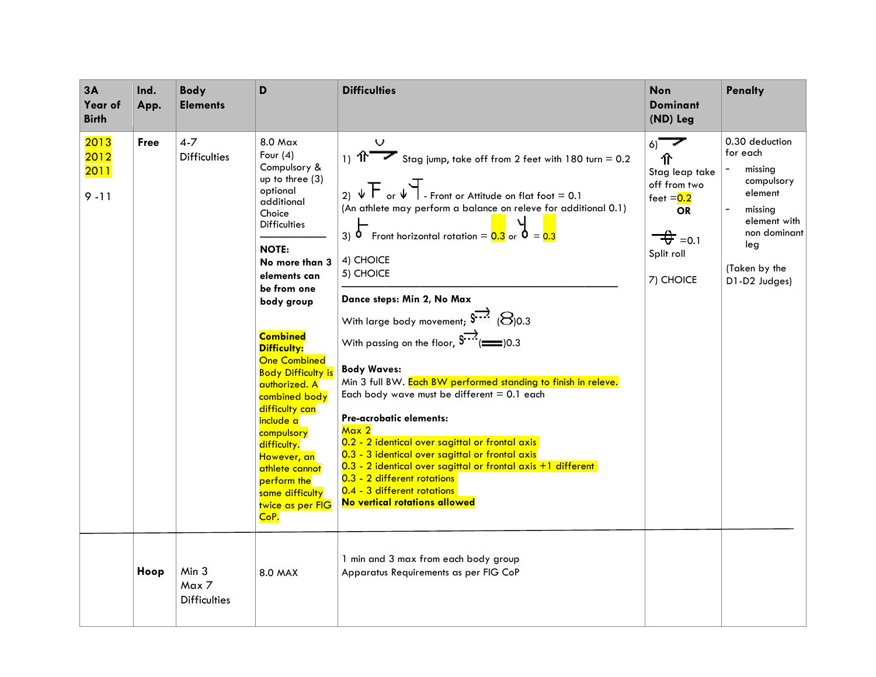| 3A<br>Year of<br><b>Birth</b>           | Ind.<br>App. | <b>Body</b><br><b>Elements</b>        | D                                                                                                                                                                                                                                                                                                                                                                                                                                                                                                           | <b>Difficulties</b>                                                                                                                                                                                                                                                                                                                                                                                                                                                                                                                                                                                                                                                                                                                                                                                                                                                                                                            | Non<br>Dominant<br>(ND) Leg                                                                                                          | <b>Penalty</b>                                                                                                                                     |
|-----------------------------------------|--------------|---------------------------------------|-------------------------------------------------------------------------------------------------------------------------------------------------------------------------------------------------------------------------------------------------------------------------------------------------------------------------------------------------------------------------------------------------------------------------------------------------------------------------------------------------------------|--------------------------------------------------------------------------------------------------------------------------------------------------------------------------------------------------------------------------------------------------------------------------------------------------------------------------------------------------------------------------------------------------------------------------------------------------------------------------------------------------------------------------------------------------------------------------------------------------------------------------------------------------------------------------------------------------------------------------------------------------------------------------------------------------------------------------------------------------------------------------------------------------------------------------------|--------------------------------------------------------------------------------------------------------------------------------------|----------------------------------------------------------------------------------------------------------------------------------------------------|
| 2013<br>2012<br><b>2011</b><br>$9 - 11$ | <b>Free</b>  | $4 - 7$<br><b>Difficulties</b>        | $8.0$ Max<br>Four $(4)$<br>Compulsory &<br>up to three (3)<br>optional<br>additional<br>Choice<br><b>Difficulties</b><br><b>NOTE:</b><br>No more than 3<br>elements can<br>be from one<br>body group<br><b>Combined</b><br><b>Difficulty:</b><br><b>One Combined</b><br><b>Body Difficulty is</b><br>authorized. A<br>combined body<br>difficulty can<br><mark>include a</mark><br>compulsory<br>difficulty.<br>However, an<br>athlete cannot<br>perform the<br>same difficulty<br>twice as per FIG<br>CoP. | v<br>1) $\hat{P}$ Stag jump, take off from 2 feet with 180 turn = 0.2<br>2) $\sqrt{F}$ or $\sqrt[4]{\ }$ - Front or Attitude on flat foot = 0.1<br>(An athlete may perform a balance on releve for additional 0.1)<br>Front horizontal rotation = $0.3$ or $\overline{0}$ = $0.3$<br>3)<br>4) CHOICE<br>5) CHOICE<br>Dance steps: Min 2, No Max<br>With large body movement; $S^{-.7}$ ( $\Theta$ )0.3<br>With passing on the floor, $\overline{\mathbf{S}^{***}}(2)$ (20.3)<br><b>Body Waves:</b><br>Min 3 full BW. Each BW performed standing to finish in releve.<br>Each body wave must be different $= 0.1$ each<br>Pre-acrobatic elements:<br>Max 2<br>0.2 - 2 identical over sagittal or frontal axis<br>0.3 - 3 identical over sagittal or frontal axis<br>0.3 - 2 identical over sagittal or frontal axis +1 different<br>0.3 - 2 different rotations<br>0.4 - 3 different rotations<br>No vertical rotations allowed | $6)^{-}$<br>仆<br>Stag leap take<br>off from two<br>feet $= 0.2$<br><b>OR</b><br>$\overrightarrow{+}$ =0.1<br>Split roll<br>7) CHOICE | 0.30 deduction<br>for each<br>missing<br>compulsory<br>element<br>missing<br>element with<br>non dominant<br>leg<br>(Taken by the<br>D1-D2 Judges) |
|                                         | Hoop         | Min 3<br>Max 7<br><b>Difficulties</b> | <b>8.0 MAX</b>                                                                                                                                                                                                                                                                                                                                                                                                                                                                                              | 1 min and 3 max from each body group<br>Apparatus Requirements as per FIG CoP                                                                                                                                                                                                                                                                                                                                                                                                                                                                                                                                                                                                                                                                                                                                                                                                                                                  |                                                                                                                                      |                                                                                                                                                    |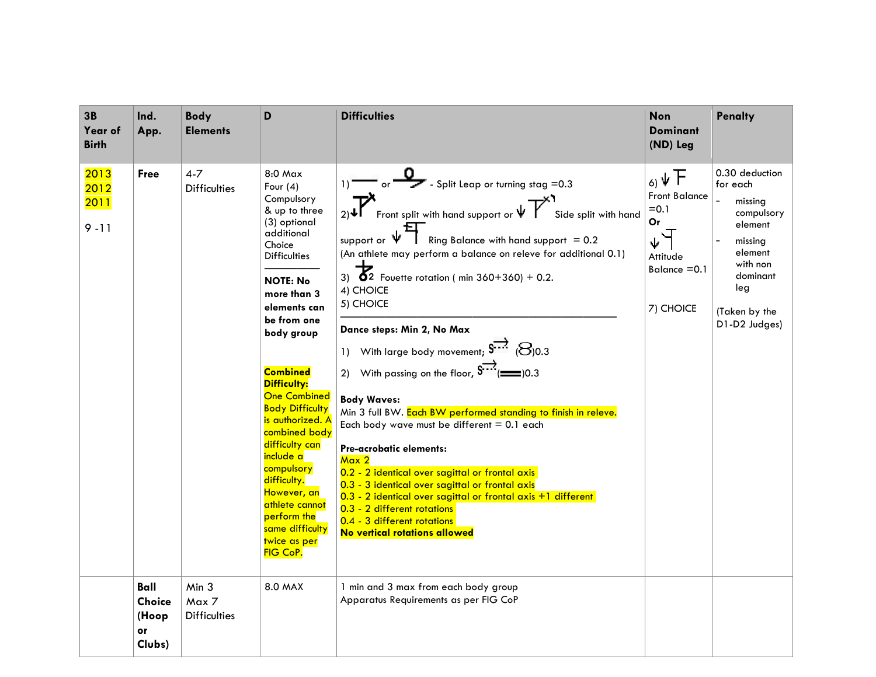| 3B<br>Year of<br><b>Birth</b>    | Ind.<br>App.                                   | <b>Body</b><br><b>Elements</b>                   | D                                                                                                                                                                                                                                                                                                                                                                                                                                                                                            | <b>Difficulties</b>                                                                                                                                                                                                                                                                                                                                                                                                                                                                                                                                                                                                                                                                                                                                                                                                                                                                                                                                                     | <b>Non</b><br><b>Dominant</b><br>(ND) Leg                                                 | <b>Penalty</b>                                                                                                                                        |
|----------------------------------|------------------------------------------------|--------------------------------------------------|----------------------------------------------------------------------------------------------------------------------------------------------------------------------------------------------------------------------------------------------------------------------------------------------------------------------------------------------------------------------------------------------------------------------------------------------------------------------------------------------|-------------------------------------------------------------------------------------------------------------------------------------------------------------------------------------------------------------------------------------------------------------------------------------------------------------------------------------------------------------------------------------------------------------------------------------------------------------------------------------------------------------------------------------------------------------------------------------------------------------------------------------------------------------------------------------------------------------------------------------------------------------------------------------------------------------------------------------------------------------------------------------------------------------------------------------------------------------------------|-------------------------------------------------------------------------------------------|-------------------------------------------------------------------------------------------------------------------------------------------------------|
| 2013<br>2012<br>2011<br>$9 - 11$ | <b>Free</b>                                    | $4 - 7$<br><b>Difficulties</b>                   | 8:0 Max<br>Four $(4)$<br>Compulsory<br>& up to three<br>(3) optional<br>additional<br>Choice<br><b>Difficulties</b><br><b>NOTE: No</b><br>more than 3<br>elements can<br>be from one<br>body group<br><b>Combined</b><br><b>Difficulty:</b><br><b>One Combined</b><br><b>Body Difficulty</b><br>is authorized. A<br>combined body<br>difficulty can<br>include a<br>compulsory<br>difficulty.<br>However, an<br>athlete cannot<br>perform the<br>same difficulty<br>twice as per<br>FIG CoP. | $\overline{0}$ - Split Leap or turning stag = 0.3<br>Front split with hand support or $\mathbb{V}$<br>Side split with hand<br>support or $\Psi$<br>Ring Balance with hand support $= 0.2$<br>(An athlete may perform a balance on releve for additional 0.1)<br>3) $\overline{6}2$ Fouette rotation (min 360+360) + 0.2.<br>4) CHOICE<br>5) CHOICE<br>Dance steps: Min 2, No Max<br>1) With large body movement; $S^{777}$ ( $S$ )0.3<br>2) With passing on the floor, $\int_{0}^{\frac{\pi}{2}}$ ( $\equiv$ )0.3<br><b>Body Waves:</b><br>Min 3 full BW. Each BW performed standing to finish in releve.<br>Each body wave must be different $= 0.1$ each<br>Pre-acrobatic elements:<br>Max 2<br>0.2 - 2 identical over sagittal or frontal axis<br>0.3 - 3 identical over sagittal or frontal axis<br>$0.3$ - 2 identical over sagittal or frontal axis $+1$ different<br>0.3 - 2 different rotations<br>0.4 - 3 different rotations<br>No vertical rotations allowed | 6, 4F<br><b>Front Balance</b><br>$= 0.1$<br>Or<br>Attitude<br>Balance $=0.1$<br>7) CHOICE | 0.30 deduction<br>for each<br>missing<br>compulsory<br>element<br>missing<br>element<br>with non<br>dominant<br>leg<br>(Taken by the<br>D1-D2 Judges) |
|                                  | Ball<br><b>Choice</b><br>(Hoop<br>or<br>Clubs) | Min <sub>3</sub><br>Max 7<br><b>Difficulties</b> | 8.0 MAX                                                                                                                                                                                                                                                                                                                                                                                                                                                                                      | 1 min and 3 max from each body group<br>Apparatus Requirements as per FIG CoP                                                                                                                                                                                                                                                                                                                                                                                                                                                                                                                                                                                                                                                                                                                                                                                                                                                                                           |                                                                                           |                                                                                                                                                       |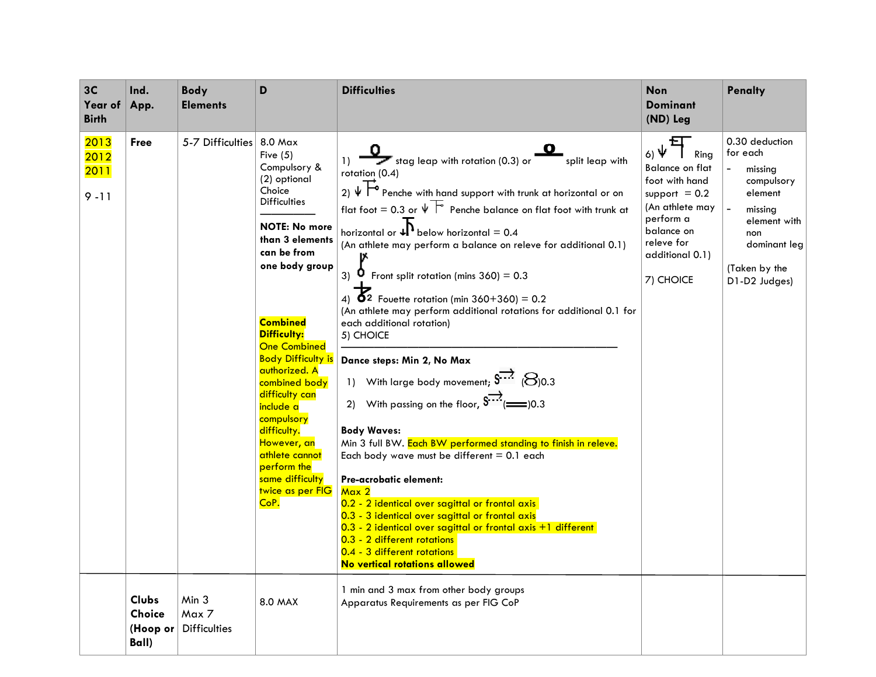| 3C<br>Year of<br><b>Birth</b>    | Ind.<br>App.                                       | <b>Body</b><br><b>Elements</b>        | D                                                                                                                                                                                                                                                                                                                                                                                                                                                            | <b>Difficulties</b>                                                                                                                                                                                                                                                                                                                                                                                                                                                                                                                                                                                                                                                                                                                                                                                                                                                                                                                                                                                                                                                                                                                                                                                | <b>Non</b><br><b>Dominant</b><br>(ND) Leg                                                                                                                                   | <b>Penalty</b>                                                                                                                                     |
|----------------------------------|----------------------------------------------------|---------------------------------------|--------------------------------------------------------------------------------------------------------------------------------------------------------------------------------------------------------------------------------------------------------------------------------------------------------------------------------------------------------------------------------------------------------------------------------------------------------------|----------------------------------------------------------------------------------------------------------------------------------------------------------------------------------------------------------------------------------------------------------------------------------------------------------------------------------------------------------------------------------------------------------------------------------------------------------------------------------------------------------------------------------------------------------------------------------------------------------------------------------------------------------------------------------------------------------------------------------------------------------------------------------------------------------------------------------------------------------------------------------------------------------------------------------------------------------------------------------------------------------------------------------------------------------------------------------------------------------------------------------------------------------------------------------------------------|-----------------------------------------------------------------------------------------------------------------------------------------------------------------------------|----------------------------------------------------------------------------------------------------------------------------------------------------|
| 2013<br>2012<br>2011<br>$9 - 11$ | <b>Free</b>                                        | 5-7 Difficulties                      | 8.0 Max<br>Five $(5)$<br>Compulsory &<br>(2) optional<br>Choice<br><b>Difficulties</b><br><b>NOTE: No more</b><br>than 3 elements<br>can be from<br>one body group<br><b>Combined</b><br><b>Difficulty:</b><br><b>One Combined</b><br><b>Body Difficulty is</b><br>authorized. A<br>combined body<br>difficulty can<br>include a<br>compulsory<br>difficulty.<br>However, an<br>athlete cannot<br>perform the<br>same difficulty<br>twice as per FIG<br>CoP. | 1) $\overline{\phantom{0}}$ stag leap with rotation (0.3) or<br>split leap with<br>rotation (0.4)<br>$_2$ ) $\sqrt{F}$ Penche with hand support with trunk at horizontal or on<br>flat foot = 0.3 or $\Psi$ $\vdash$ Penche balance on flat foot with trunk at<br>horizontal or $\sqrt{\phantom{1}}\hspace{-1.5pt}\sqrt{\phantom{1}}\hspace{-1.5pt}$ below horizontal = 0.4<br>(An athlete may perform a balance on releve for additional 0.1)<br>Front split rotation (mins $360$ ) = 0.3<br>3)<br>4) $5^2$ Fouette rotation (min 360+360) = 0.2<br>(An athlete may perform additional rotations for additional 0.1 for<br>each additional rotation)<br>5) CHOICE<br>Dance steps: Min 2, No Max<br>1) With large body movement; $S^{777}$ (8)0.3<br><b>Body Waves:</b><br>Min 3 full BW. Each BW performed standing to finish in releve.<br>Each body wave must be different $= 0.1$ each<br>Pre-acrobatic element:<br>Max 2<br>0.2 - 2 identical over sagittal or frontal axis<br>0.3 - 3 identical over sagittal or frontal axis<br>0.3 - 2 identical over sagittal or frontal axis +1 different<br>0.3 - 2 different rotations<br>0.4 - 3 different rotations<br>No vertical rotations allowed | 坘<br>6)Ψ<br>Ring<br><b>Balance on flat</b><br>foot with hand<br>support $= 0.2$<br>(An athlete may<br>perform a<br>balance on<br>releve for<br>additional 0.1)<br>7) CHOICE | 0.30 deduction<br>for each<br>missing<br>compulsory<br>element<br>missing<br>element with<br>non<br>dominant leg<br>(Taken by the<br>D1-D2 Judges) |
|                                  | <b>Clubs</b><br><b>Choice</b><br>(Hoop or<br>Ball) | Min 3<br>Max 7<br><b>Difficulties</b> | <b>8.0 MAX</b>                                                                                                                                                                                                                                                                                                                                                                                                                                               | 1 min and 3 max from other body groups<br>Apparatus Requirements as per FIG CoP                                                                                                                                                                                                                                                                                                                                                                                                                                                                                                                                                                                                                                                                                                                                                                                                                                                                                                                                                                                                                                                                                                                    |                                                                                                                                                                             |                                                                                                                                                    |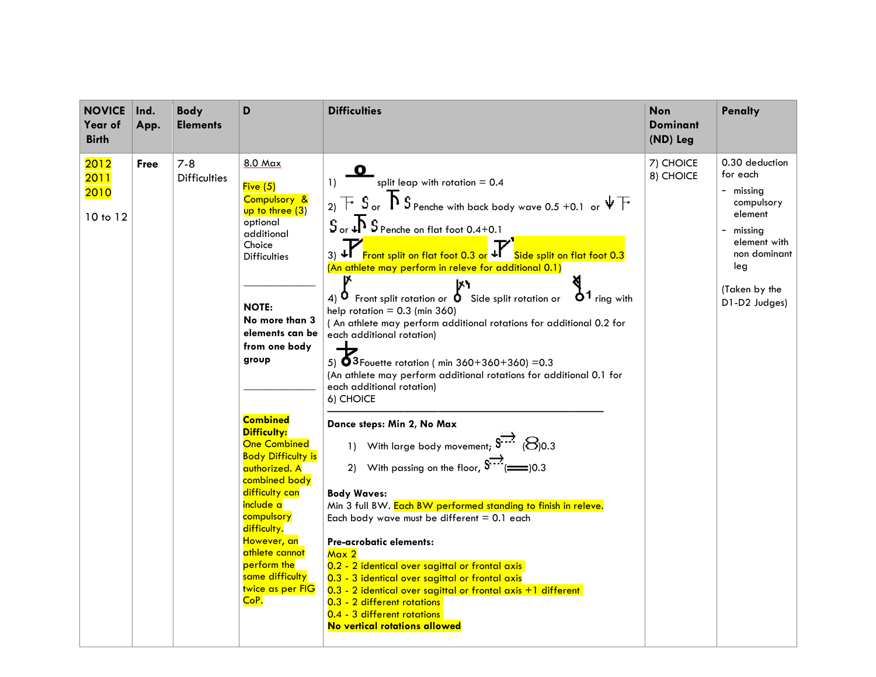| <b>NOVICE</b><br>Year of<br><b>Birth</b> | Ind.<br>App. | <b>Body</b><br><b>Elements</b> | D                                                                                                                                                                                                                                                                                                                                                                                                                                                                                     | <b>Difficulties</b>                                                                                                                                                                                                                                                                                                                                                                                                                                                                                                                                                                                                                                                                                                                                                                                                                                                                                                                                                                                                                                                                                                                                                                                                                                                                                                                                                                                                                                                                                                                                                                                                                                                                                                                                                   | <b>Non</b><br><b>Dominant</b><br>(ND) Leg | <b>Penalty</b>                                                                                                                                       |
|------------------------------------------|--------------|--------------------------------|---------------------------------------------------------------------------------------------------------------------------------------------------------------------------------------------------------------------------------------------------------------------------------------------------------------------------------------------------------------------------------------------------------------------------------------------------------------------------------------|-----------------------------------------------------------------------------------------------------------------------------------------------------------------------------------------------------------------------------------------------------------------------------------------------------------------------------------------------------------------------------------------------------------------------------------------------------------------------------------------------------------------------------------------------------------------------------------------------------------------------------------------------------------------------------------------------------------------------------------------------------------------------------------------------------------------------------------------------------------------------------------------------------------------------------------------------------------------------------------------------------------------------------------------------------------------------------------------------------------------------------------------------------------------------------------------------------------------------------------------------------------------------------------------------------------------------------------------------------------------------------------------------------------------------------------------------------------------------------------------------------------------------------------------------------------------------------------------------------------------------------------------------------------------------------------------------------------------------------------------------------------------------|-------------------------------------------|------------------------------------------------------------------------------------------------------------------------------------------------------|
| 2012<br>2011<br><b>2010</b><br>10 to 12  | <b>Free</b>  | $7 - 8$<br><b>Difficulties</b> | 8.0 Max<br>Five (5)<br>Compulsory &<br>up to three $(3)$<br>optional<br>additional<br>Choice<br><b>Difficulties</b><br><b>NOTE:</b><br>No more than 3<br>elements can be<br>from one body<br>group<br><b>Combined</b><br><b>Difficulty:</b><br>One Combined<br><b>Body Difficulty is</b><br>authorized. A<br>combined body<br>difficulty can<br>include a<br>compulsory<br>difficulty.<br>However, an<br>athlete cannot<br>perform the<br>same difficulty<br>twice as per FIG<br>CoP. | split leap with rotation $= 0.4$<br>1)<br>$_2$ ) $\overline{\phantom{1}}$ $\overline{\phantom{1}}$ $\overline{\phantom{1}}$ $\overline{\phantom{1}}$ $\overline{\phantom{1}}$ $\overline{\phantom{1}}$ $\overline{\phantom{1}}$ $\overline{\phantom{1}}$ $\overline{\phantom{1}}$ $\overline{\phantom{1}}$ $\overline{\phantom{1}}$ $\overline{\phantom{1}}$ $\overline{\phantom{1}}$ $\overline{\phantom{1}}$ $\overline{\phantom{1}}$ $\overline{\phantom{1}}$ $\overline{\phantom{1}}$ $\overline{\phantom{1}}$<br>$S_{\text{ or }}$ or $\uparrow$ $S_{\text{Penche on flat foot 0.4+0.1}}$<br>3) ↓ Front split on flat foot 0.3 or ↓ Side split on flat foot 0.3<br>(An athlete may perform in releve for additional 0.1)<br>l۸ħ<br>$\dot{\mathbf{O}}^1$ ring with<br>$(4)$ O<br>Front split rotation or $\bullet$ Side split rotation or<br>help rotation $= 0.3$ (min 360)<br>(An athlete may perform additional rotations for additional 0.2 for<br>each additional rotation)<br>$\rightarrow$<br>5) $53$ Fouette rotation (min 360+360+360) = 0.3<br>(An athlete may perform additional rotations for additional 0.1 for<br>each additional rotation)<br>6) CHOICE<br>Dance steps: Min 2, No Max<br>1) With large body movement; $S^{***}$ (8)0.3<br>2) With passing on the floor, $S^{-1}$ ( $\equiv$ 0.3)<br><b>Body Waves:</b><br>Min 3 full BW. Each BW performed standing to finish in releve.<br>Each body wave must be different $= 0.1$ each<br>Pre-acrobatic elements:<br>Max 2<br>0.2 - 2 identical over sagittal or frontal axis<br>0.3 - 3 identical over sagittal or frontal axis<br>0.3 - 2 identical over sagittal or frontal axis +1 different<br>0.3 - 2 different rotations<br>0.4 - 3 different rotations<br>No vertical rotations allowed | 7) CHOICE<br>8) CHOICE                    | 0.30 deduction<br>for each<br>- missing<br>compulsory<br>element<br>missing<br>element with<br>non dominant<br>leg<br>(Taken by the<br>D1-D2 Judges) |